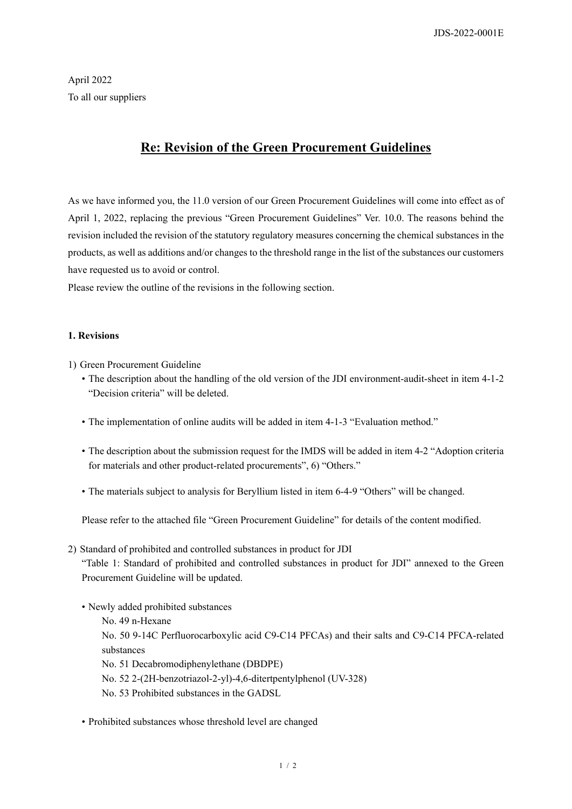April 2022 To all our suppliers

# **Re: Revision of the Green Procurement Guidelines**

As we have informed you, the 11.0 version of our Green Procurement Guidelines will come into effect as of April 1, 2022, replacing the previous "Green Procurement Guidelines" Ver. 10.0. The reasons behind the revision included the revision of the statutory regulatory measures concerning the chemical substances in the products, as well as additions and/or changes to the threshold range in the list of the substances our customers have requested us to avoid or control.

Please review the outline of the revisions in the following section.

#### **1. Revisions**

- 1) Green Procurement Guideline
	- The description about the handling of the old version of the JDI environment-audit-sheet in item 4-1-2 "Decision criteria" will be deleted.
	- The implementation of online audits will be added in item 4-1-3 "Evaluation method."
	- The description about the submission request for the IMDS will be added in item 4-2 "Adoption criteria for materials and other product-related procurements", 6) "Others."
	- The materials subject to analysis for Beryllium listed in item 6-4-9 "Others" will be changed.

Please refer to the attached file "Green Procurement Guideline" for details of the content modified.

#### 2) Standard of prohibited and controlled substances in product for JDI

"Table 1: Standard of prohibited and controlled substances in product for JDI" annexed to the Green Procurement Guideline will be updated.

• Newly added prohibited substances

No. 49 n-Hexane No. 50 9-14C Perfluorocarboxylic acid C9-C14 PFCAs) and their salts and C9-C14 PFCA-related substances No. 51 Decabromodiphenylethane (DBDPE) No. 52 2-(2H-benzotriazol-2-yl)-4,6-ditertpentylphenol (UV-328) No. 53 Prohibited substances in the GADSL

• Prohibited substances whose threshold level are changed